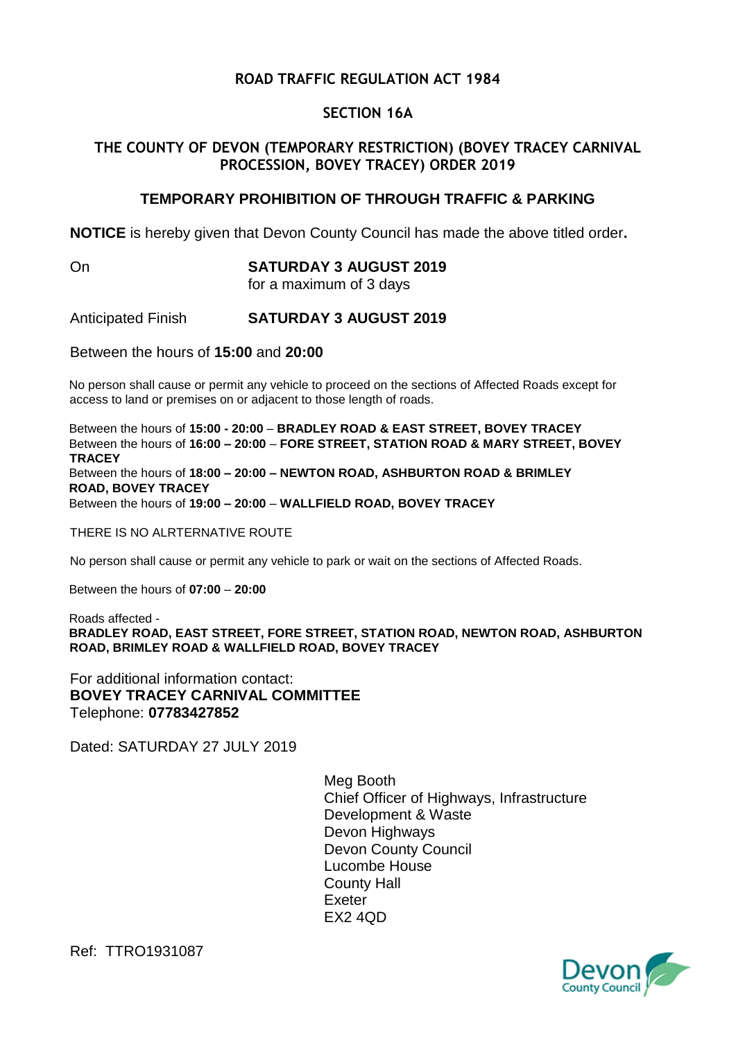## **ROAD TRAFFIC REGULATION ACT 1984**

### **SECTION 16A**

## **THE COUNTY OF DEVON (TEMPORARY RESTRICTION) (BOVEY TRACEY CARNIVAL PROCESSION, BOVEY TRACEY) ORDER 2019**

### **TEMPORARY PROHIBITION OF THROUGH TRAFFIC & PARKING**

**NOTICE** is hereby given that Devon County Council has made the above titled order**.**

# On **SATURDAY 3 AUGUST 2019**

for a maximum of 3 days

Anticipated Finish **SATURDAY 3 AUGUST 2019**

Between the hours of **15:00** and **20:00**

No person shall cause or permit any vehicle to proceed on the sections of Affected Roads except for access to land or premises on or adjacent to those length of roads.

Between the hours of **15:00 - 20:00** – **BRADLEY ROAD & EAST STREET, BOVEY TRACEY**  Between the hours of **16:00 – 20:00** – **FORE STREET, STATION ROAD & MARY STREET, BOVEY TRACEY**  Between the hours of **18:00 – 20:00 – NEWTON ROAD, ASHBURTON ROAD & BRIMLEY ROAD, BOVEY TRACEY**  Between the hours of **19:00 – 20:00** – **WALLFIELD ROAD, BOVEY TRACEY**

THERE IS NO ALRTERNATIVE ROUTE

No person shall cause or permit any vehicle to park or wait on the sections of Affected Roads.

Between the hours of **07:00** – **20:00**

Roads affected - **BRADLEY ROAD, EAST STREET, FORE STREET, STATION ROAD, NEWTON ROAD, ASHBURTON ROAD, BRIMLEY ROAD & WALLFIELD ROAD, BOVEY TRACEY** 

For additional information contact: **BOVEY TRACEY CARNIVAL COMMITTEE** Telephone: **07783427852**

Dated: SATURDAY 27 JULY 2019

Meg Booth Chief Officer of Highways, Infrastructure Development & Waste Devon Highways Devon County Council Lucombe House County Hall Exeter EX2 4QD